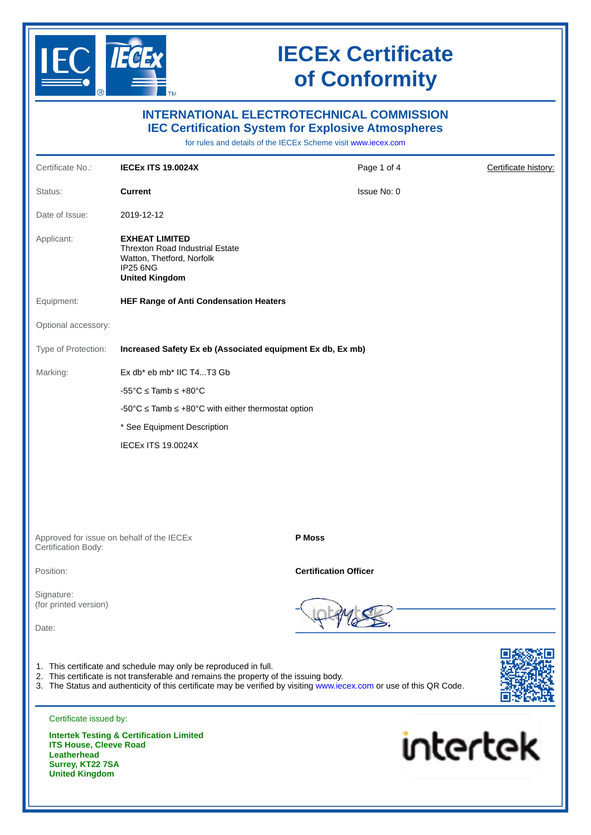

**Surrey, KT22 7SA United Kingdom**

## **IECEx Certificate of Conformity**

| <b>INTERNATIONAL ELECTROTECHNICAL COMMISSION</b><br><b>IEC Certification System for Explosive Atmospheres</b><br>for rules and details of the IECEx Scheme visit www.iecex.com |                                                                                                                                                                                                                  |                                                                                                                      |                      |  |  |
|--------------------------------------------------------------------------------------------------------------------------------------------------------------------------------|------------------------------------------------------------------------------------------------------------------------------------------------------------------------------------------------------------------|----------------------------------------------------------------------------------------------------------------------|----------------------|--|--|
| Certificate No.:                                                                                                                                                               | <b>IECEX ITS 19.0024X</b>                                                                                                                                                                                        | Page 1 of 4                                                                                                          | Certificate history: |  |  |
| Status:                                                                                                                                                                        | <b>Current</b>                                                                                                                                                                                                   | Issue No: 0                                                                                                          |                      |  |  |
| Date of Issue:                                                                                                                                                                 | 2019-12-12                                                                                                                                                                                                       |                                                                                                                      |                      |  |  |
| Applicant:                                                                                                                                                                     | <b>EXHEAT LIMITED</b><br>Threxton Road Industrial Estate<br>Watton, Thetford, Norfolk<br><b>IP25 6NG</b><br><b>United Kingdom</b>                                                                                |                                                                                                                      |                      |  |  |
| Equipment:                                                                                                                                                                     | <b>HEF Range of Anti Condensation Heaters</b>                                                                                                                                                                    |                                                                                                                      |                      |  |  |
| Optional accessory:                                                                                                                                                            |                                                                                                                                                                                                                  |                                                                                                                      |                      |  |  |
| Type of Protection:                                                                                                                                                            | Increased Safety Ex eb (Associated equipment Ex db, Ex mb)                                                                                                                                                       |                                                                                                                      |                      |  |  |
| Marking:                                                                                                                                                                       | Ex db* eb mb* IIC T4T3 Gb                                                                                                                                                                                        |                                                                                                                      |                      |  |  |
|                                                                                                                                                                                | $-55^{\circ}$ C $\leq$ Tamb $\leq$ +80 $^{\circ}$ C                                                                                                                                                              |                                                                                                                      |                      |  |  |
|                                                                                                                                                                                | $-50^{\circ}$ C $\le$ Tamb $\le$ +80°C with either thermostat option                                                                                                                                             |                                                                                                                      |                      |  |  |
|                                                                                                                                                                                | * See Equipment Description                                                                                                                                                                                      |                                                                                                                      |                      |  |  |
|                                                                                                                                                                                | <b>IECEX ITS 19.0024X</b>                                                                                                                                                                                        |                                                                                                                      |                      |  |  |
| Certification Body:                                                                                                                                                            | Approved for issue on behalf of the IECEX                                                                                                                                                                        | P Moss                                                                                                               |                      |  |  |
| Position:                                                                                                                                                                      |                                                                                                                                                                                                                  | <b>Certification Officer</b>                                                                                         |                      |  |  |
| Signature:<br>(for printed version)<br>Date:                                                                                                                                   |                                                                                                                                                                                                                  |                                                                                                                      |                      |  |  |
| Certificate issued by:                                                                                                                                                         | 1. This certificate and schedule may only be reproduced in full.<br>2. This certificate is not transferable and remains the property of the issuing body.<br><b>Intertek Testing &amp; Certification Limited</b> | 3. The Status and authenticity of this certificate may be verified by visiting www.iecex.com or use of this QR Code. |                      |  |  |
| <b>ITS House, Cleeve Road</b><br><b>Leatherhead</b>                                                                                                                            |                                                                                                                                                                                                                  | intertek                                                                                                             |                      |  |  |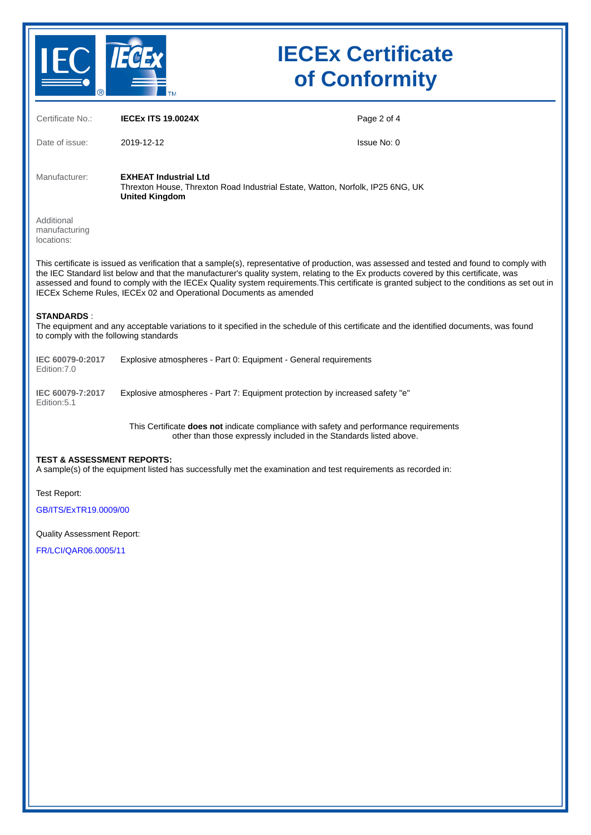

# **IECEx Certificate of Conformity**

| Certificate No.:                                                                                                                                                                                                                                                                                                                                                                                                                                                                                         | <b>IECEX ITS 19.0024X</b>                                                                                                                                    | Page 2 of 4 |  |  |  |
|----------------------------------------------------------------------------------------------------------------------------------------------------------------------------------------------------------------------------------------------------------------------------------------------------------------------------------------------------------------------------------------------------------------------------------------------------------------------------------------------------------|--------------------------------------------------------------------------------------------------------------------------------------------------------------|-------------|--|--|--|
| Date of issue:                                                                                                                                                                                                                                                                                                                                                                                                                                                                                           | 2019-12-12                                                                                                                                                   | Issue No: 0 |  |  |  |
| Manufacturer:                                                                                                                                                                                                                                                                                                                                                                                                                                                                                            | <b>EXHEAT Industrial Ltd</b><br>Threxton House, Threxton Road Industrial Estate, Watton, Norfolk, IP25 6NG, UK<br><b>United Kingdom</b>                      |             |  |  |  |
| Additional<br>manufacturing<br>locations:                                                                                                                                                                                                                                                                                                                                                                                                                                                                |                                                                                                                                                              |             |  |  |  |
| This certificate is issued as verification that a sample(s), representative of production, was assessed and tested and found to comply with<br>the IEC Standard list below and that the manufacturer's quality system, relating to the Ex products covered by this certificate, was<br>assessed and found to comply with the IECEx Quality system requirements. This certificate is granted subject to the conditions as set out in<br>IECEx Scheme Rules, IECEx 02 and Operational Documents as amended |                                                                                                                                                              |             |  |  |  |
| <b>STANDARDS:</b><br>The equipment and any acceptable variations to it specified in the schedule of this certificate and the identified documents, was found<br>to comply with the following standards                                                                                                                                                                                                                                                                                                   |                                                                                                                                                              |             |  |  |  |
| IEC 60079-0:2017<br>Edition: 7.0                                                                                                                                                                                                                                                                                                                                                                                                                                                                         | Explosive atmospheres - Part 0: Equipment - General requirements                                                                                             |             |  |  |  |
| IEC 60079-7:2017<br>Edition: 5.1                                                                                                                                                                                                                                                                                                                                                                                                                                                                         | Explosive atmospheres - Part 7: Equipment protection by increased safety "e"                                                                                 |             |  |  |  |
|                                                                                                                                                                                                                                                                                                                                                                                                                                                                                                          | This Certificate does not indicate compliance with safety and performance requirements<br>other than those expressly included in the Standards listed above. |             |  |  |  |
| <b>TEST &amp; ASSESSMENT REPORTS:</b><br>A sample(s) of the equipment listed has successfully met the examination and test requirements as recorded in:                                                                                                                                                                                                                                                                                                                                                  |                                                                                                                                                              |             |  |  |  |
| Test Report:                                                                                                                                                                                                                                                                                                                                                                                                                                                                                             |                                                                                                                                                              |             |  |  |  |
| GB/ITS/ExTR19.0009/00                                                                                                                                                                                                                                                                                                                                                                                                                                                                                    |                                                                                                                                                              |             |  |  |  |
| <b>Quality Assessment Report:</b>                                                                                                                                                                                                                                                                                                                                                                                                                                                                        |                                                                                                                                                              |             |  |  |  |
| FR/LCI/QAR06.0005/11                                                                                                                                                                                                                                                                                                                                                                                                                                                                                     |                                                                                                                                                              |             |  |  |  |
|                                                                                                                                                                                                                                                                                                                                                                                                                                                                                                          |                                                                                                                                                              |             |  |  |  |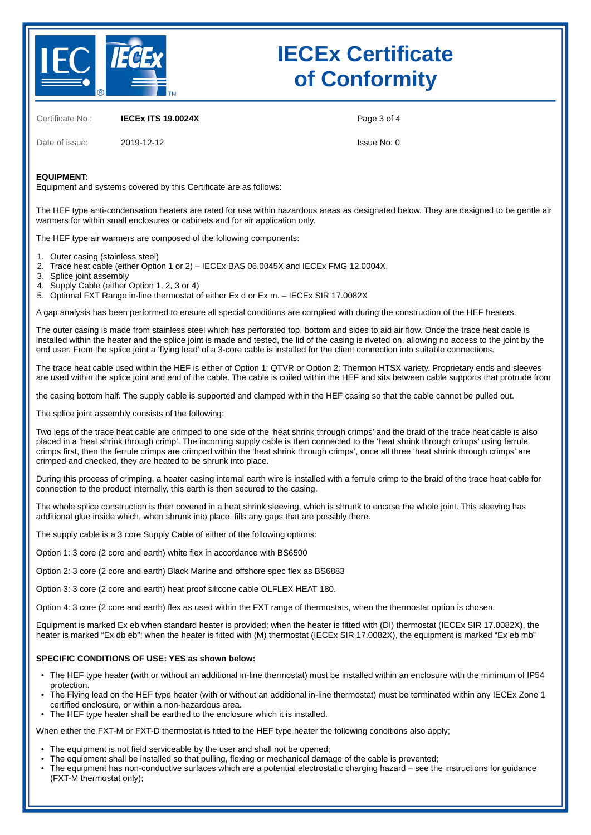

## **IECEx Certificate of Conformity**

Certificate No.: **IECEx ITS 19.0024X**

Page 3 of 4

Date of issue: 2019-12-12

Issue No: 0

### **EQUIPMENT:**

Equipment and systems covered by this Certificate are as follows:

The HEF type anti-condensation heaters are rated for use within hazardous areas as designated below. They are designed to be gentle air warmers for within small enclosures or cabinets and for air application only.

The HEF type air warmers are composed of the following components:

- 1. Outer casing (stainless steel)
- 2. Trace heat cable (either Option 1 or 2) – IECEx BAS 06.0045X and IECEx FMG 12.0004X.
- 3. Splice joint assembly
- 4. Supply Cable (either Option 1, 2, 3 or 4)

5. Optional FXT Range in-line thermostat of either Ex d or Ex m. – IECEx SIR 17.0082X

A gap analysis has been performed to ensure all special conditions are complied with during the construction of the HEF heaters.

The outer casing is made from stainless steel which has perforated top, bottom and sides to aid air flow. Once the trace heat cable is installed within the heater and the splice joint is made and tested, the lid of the casing is riveted on, allowing no access to the joint by the end user. From the splice joint a 'flying lead' of a 3-core cable is installed for the client connection into suitable connections.

The trace heat cable used within the HEF is either of Option 1: QTVR or Option 2: Thermon HTSX variety. Proprietary ends and sleeves are used within the splice joint and end of the cable. The cable is coiled within the HEF and sits between cable supports that protrude from

the casing bottom half. The supply cable is supported and clamped within the HEF casing so that the cable cannot be pulled out.

The splice joint assembly consists of the following:

Two legs of the trace heat cable are crimped to one side of the 'heat shrink through crimps' and the braid of the trace heat cable is also placed in a 'heat shrink through crimp'. The incoming supply cable is then connected to the 'heat shrink through crimps' using ferrule crimps first, then the ferrule crimps are crimped within the 'heat shrink through crimps', once all three 'heat shrink through crimps' are crimped and checked, they are heated to be shrunk into place.

During this process of crimping, a heater casing internal earth wire is installed with a ferrule crimp to the braid of the trace heat cable for connection to the product internally, this earth is then secured to the casing.

The whole splice construction is then covered in a heat shrink sleeving, which is shrunk to encase the whole joint. This sleeving has additional glue inside which, when shrunk into place, fills any gaps that are possibly there.

The supply cable is a 3 core Supply Cable of either of the following options:

Option 1: 3 core (2 core and earth) white flex in accordance with BS6500

Option 2: 3 core (2 core and earth) Black Marine and offshore spec flex as BS6883

Option 3: 3 core (2 core and earth) heat proof silicone cable OLFLEX HEAT 180.

Option 4: 3 core (2 core and earth) flex as used within the FXT range of thermostats, when the thermostat option is chosen.

Equipment is marked Ex eb when standard heater is provided; when the heater is fitted with (DI) thermostat (IECEx SIR 17.0082X), the heater is marked "Ex db eb"; when the heater is fitted with (M) thermostat (IECEx SIR 17.0082X), the equipment is marked "Ex eb mb"

#### **SPECIFIC CONDITIONS OF USE: YES as shown below:**

- The HEF type heater (with or without an additional in-line thermostat) must be installed within an enclosure with the minimum of IP54 protection.
- The Flying lead on the HEF type heater (with or without an additional in-line thermostat) must be terminated within any IECEx Zone 1 certified enclosure, or within a non-hazardous area.
- The HEF type heater shall be earthed to the enclosure which it is installed.

When either the FXT-M or FXT-D thermostat is fitted to the HEF type heater the following conditions also apply;

- The equipment is not field serviceable by the user and shall not be opened;
- The equipment shall be installed so that pulling, flexing or mechanical damage of the cable is prevented;
- The equipment has non-conductive surfaces which are a potential electrostatic charging hazard – see the instructions for guidance (FXT-M thermostat only);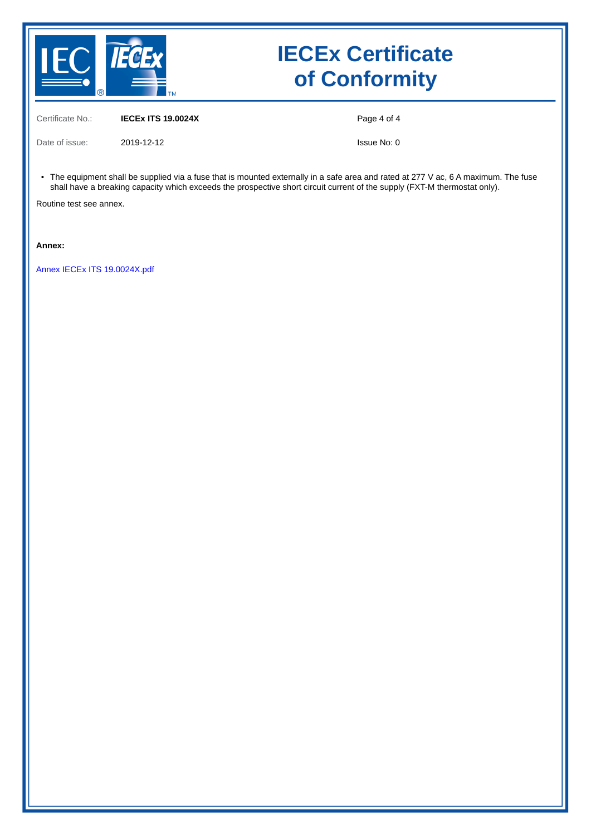

## **IECEx Certificate of Conformity**

Certificate No.: **IECEx ITS 19.0024X**

Page 4 of 4

Date of issue: 2019-12-12

Issue No: 0

• The equipment shall be supplied via a fuse that is mounted externally in a safe area and rated at 277 V ac, 6 A maximum. The fuse shall have a breaking capacity which exceeds the prospective short circuit current of the supply (FXT-M thermostat only).

Routine test see annex.

**Annex:**

[Annex IECEx ITS 19.0024X.pdf](https://www.iecex-certs.com/deliverables/CERT/24429/view)